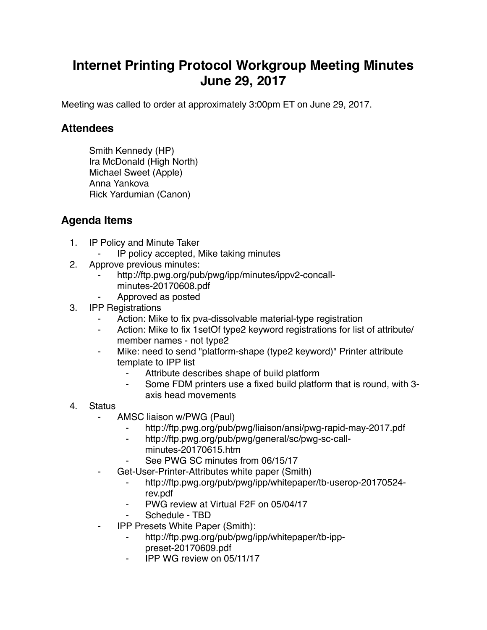## **Internet Printing Protocol Workgroup Meeting Minutes June 29, 2017**

Meeting was called to order at approximately 3:00pm ET on June 29, 2017.

## **Attendees**

Smith Kennedy (HP) Ira McDonald (High North) Michael Sweet (Apple) Anna Yankova Rick Yardumian (Canon)

## **Agenda Items**

- 1. IP Policy and Minute Taker
	- ⁃ IP policy accepted, Mike taking minutes
- 2. Approve previous minutes:
	- http://ftp.pwg.org/pub/pwg/ipp/minutes/ippv2-concallminutes-20170608.pdf
	- ⁃ Approved as posted
- 3. IPP Registrations
	- Action: Mike to fix pva-dissolvable material-type registration
	- ⁃ Action: Mike to fix 1setOf type2 keyword registrations for list of attribute/ member names - not type2
	- Mike: need to send "platform-shape (type2 keyword)" Printer attribute template to IPP list
		- Attribute describes shape of build platform
		- Some FDM printers use a fixed build platform that is round, with 3axis head movements
- 4. Status
	- AMSC liaison w/PWG (Paul)
		- http://ftp.pwg.org/pub/pwg/liaison/ansi/pwg-rapid-may-2017.pdf
		- ⁃ http://ftp.pwg.org/pub/pwg/general/sc/pwg-sc-callminutes-20170615.htm
		- See PWG SC minutes from 06/15/17
	- Get-User-Printer-Attributes white paper (Smith)
		- ⁃ http://ftp.pwg.org/pub/pwg/ipp/whitepaper/tb-userop-20170524 rev.pdf
		- PWG review at Virtual F2F on 05/04/17
		- Schedule TBD
	- ⁃ IPP Presets White Paper (Smith):
		- http://ftp.pwg.org/pub/pwg/ipp/whitepaper/tb-ipppreset-20170609.pdf
		- ⁃ IPP WG review on 05/11/17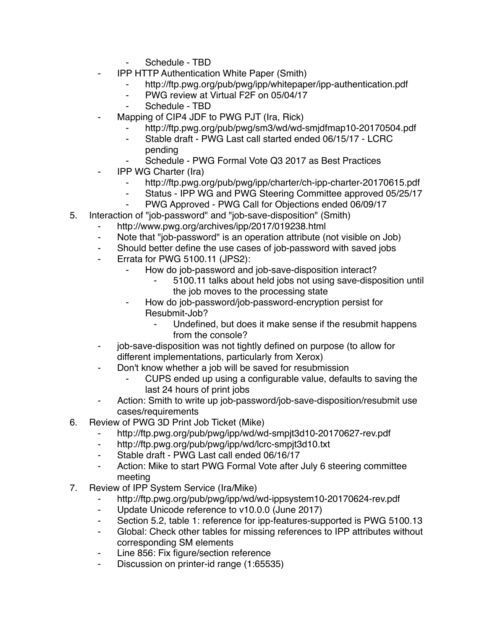- Schedule TBD
- **IPP HTTP Authentication White Paper (Smith)** 
	- http://ftp.pwg.org/pub/pwg/ipp/whitepaper/ipp-authentication.pdf
	- ⁃ PWG review at Virtual F2F on 05/04/17
	- Schedule TBD
	- Mapping of CIP4 JDF to PWG PJT (Ira, Rick)
		- http://ftp.pwg.org/pub/pwg/sm3/wd/wd-smjdfmap10-20170504.pdf
		- Stable draft PWG Last call started ended 06/15/17 LCRC pending
		- Schedule PWG Formal Vote Q3 2017 as Best Practices
- **IPP WG Charter (Ira)** 
	- http://ftp.pwg.org/pub/pwg/ipp/charter/ch-ipp-charter-20170615.pdf
	- Status IPP WG and PWG Steering Committee approved 05/25/17
	- ⁃ PWG Approved PWG Call for Objections ended 06/09/17
- 5. Interaction of "job-password" and "job-save-disposition" (Smith)
	- http://www.pwg.org/archives/ipp/2017/019238.html
	- ⁃ Note that "job-password" is an operation attribute (not visible on Job)
	- Should better define the use cases of job-password with saved jobs
	- Errata for PWG 5100.11 (JPS2):
		- How do job-password and job-save-disposition interact?
			- 5100.11 talks about held jobs not using save-disposition until the job moves to the processing state
		- How do job-password/job-password-encryption persist for Resubmit-Job?
			- ⁃ Undefined, but does it make sense if the resubmit happens from the console?
	- ⁃ job-save-disposition was not tightly defined on purpose (to allow for different implementations, particularly from Xerox)
	- ⁃ Don't know whether a job will be saved for resubmission
		- ⁃ CUPS ended up using a configurable value, defaults to saving the last 24 hours of print jobs
	- Action: Smith to write up job-password/job-save-disposition/resubmit use cases/requirements
- 6. Review of PWG 3D Print Job Ticket (Mike)
	- ⁃ http://ftp.pwg.org/pub/pwg/ipp/wd/wd-smpjt3d10-20170627-rev.pdf
	- ⁃ http://ftp.pwg.org/pub/pwg/ipp/wd/lcrc-smpjt3d10.txt
	- ⁃ Stable draft PWG Last call ended 06/16/17
	- Action: Mike to start PWG Formal Vote after July 6 steering committee meeting
- 7. Review of IPP System Service (Ira/Mike)
	- http://ftp.pwg.org/pub/pwg/ipp/wd/wd-ippsystem10-20170624-rev.pdf
	- ⁃ Update Unicode reference to v10.0.0 (June 2017)
	- Section 5.2, table 1: reference for ipp-features-supported is PWG 5100.13
	- ⁃ Global: Check other tables for missing references to IPP attributes without corresponding SM elements
	- Line 856: Fix figure/section reference
	- ⁃ Discussion on printer-id range (1:65535)